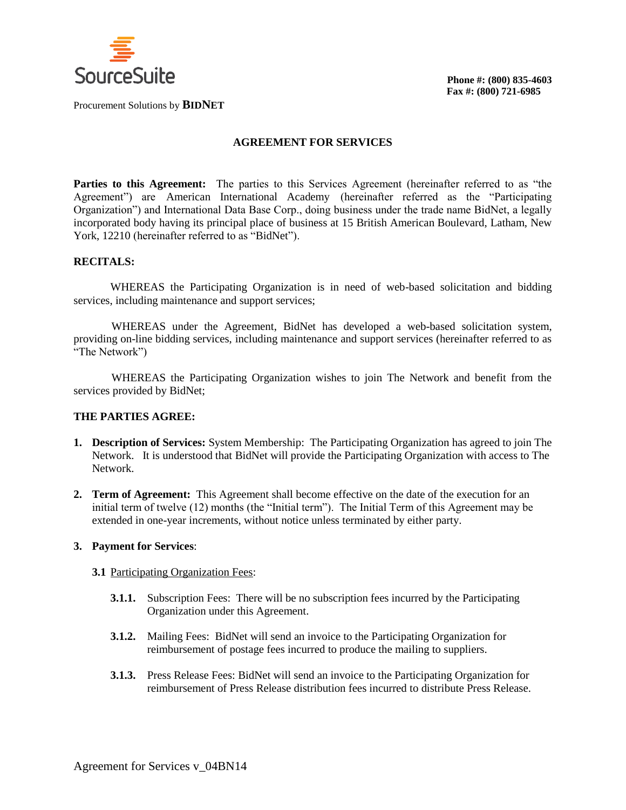

Procurement Solutions by **BIDNET**

### **AGREEMENT FOR SERVICES**

**Parties to this Agreement:** The parties to this Services Agreement (hereinafter referred to as "the Agreement") are American International Academy (hereinafter referred as the "Participating Organization") and International Data Base Corp., doing business under the trade name BidNet, a legally incorporated body having its principal place of business at 15 British American Boulevard, Latham, New York, 12210 (hereinafter referred to as "BidNet").

## **RECITALS:**

WHEREAS the Participating Organization is in need of web-based solicitation and bidding services, including maintenance and support services;

WHEREAS under the Agreement, BidNet has developed a web-based solicitation system, providing on-line bidding services, including maintenance and support services (hereinafter referred to as "The Network")

WHEREAS the Participating Organization wishes to join The Network and benefit from the services provided by BidNet;

## **THE PARTIES AGREE:**

- **1. Description of Services:** System Membership: The Participating Organization has agreed to join The Network. It is understood that BidNet will provide the Participating Organization with access to The Network.
- **2. Term of Agreement:** This Agreement shall become effective on the date of the execution for an initial term of twelve (12) months (the "Initial term"). The Initial Term of this Agreement may be extended in one-year increments, without notice unless terminated by either party.

### **3. Payment for Services**:

#### **3.1** Participating Organization Fees:

- **3.1.1.** Subscription Fees: There will be no subscription fees incurred by the Participating Organization under this Agreement.
- **3.1.2.** Mailing Fees: BidNet will send an invoice to the Participating Organization for reimbursement of postage fees incurred to produce the mailing to suppliers.
- **3.1.3.** Press Release Fees: BidNet will send an invoice to the Participating Organization for reimbursement of Press Release distribution fees incurred to distribute Press Release.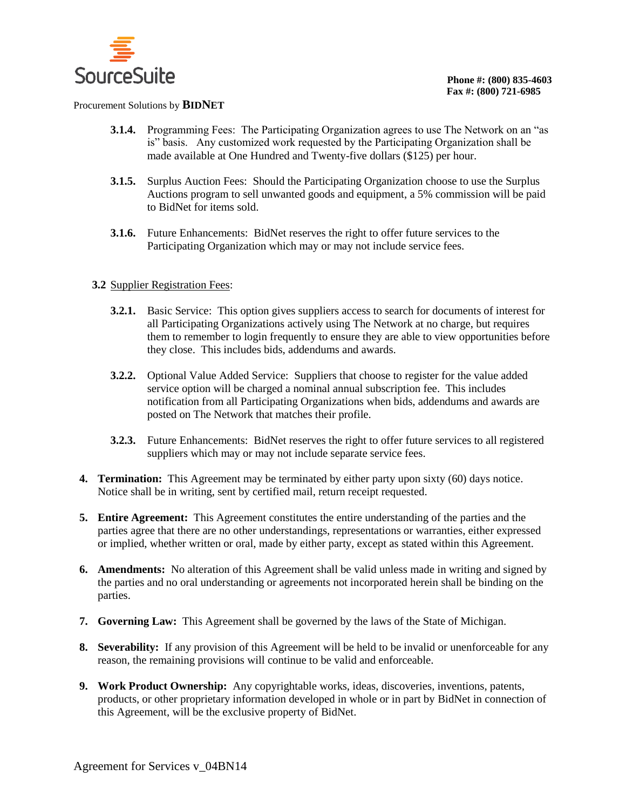

#### Procurement Solutions by **BIDNET**

- **3.1.4.** Programming Fees: The Participating Organization agrees to use The Network on an "as is" basis. Any customized work requested by the Participating Organization shall be made available at One Hundred and Twenty-five dollars (\$125) per hour.
- **3.1.5.** Surplus Auction Fees: Should the Participating Organization choose to use the Surplus Auctions program to sell unwanted goods and equipment, a 5% commission will be paid to BidNet for items sold.
- **3.1.6.** Future Enhancements: BidNet reserves the right to offer future services to the Participating Organization which may or may not include service fees.

# **3.2** Supplier Registration Fees:

- **3.2.1.** Basic Service:This option gives suppliers access to search for documents of interest for all Participating Organizations actively using The Network at no charge, but requires them to remember to login frequently to ensure they are able to view opportunities before they close. This includes bids, addendums and awards.
- **3.2.2.** Optional Value Added Service: Suppliers that choose to register for the value added service option will be charged a nominal annual subscription fee. This includes notification from all Participating Organizations when bids, addendums and awards are posted on The Network that matches their profile.
- **3.2.3.** Future Enhancements: BidNet reserves the right to offer future services to all registered suppliers which may or may not include separate service fees.
- **4. Termination:** This Agreement may be terminated by either party upon sixty (60) days notice. Notice shall be in writing, sent by certified mail, return receipt requested.
- **5. Entire Agreement:** This Agreement constitutes the entire understanding of the parties and the parties agree that there are no other understandings, representations or warranties, either expressed or implied, whether written or oral, made by either party, except as stated within this Agreement.
- **6. Amendments:** No alteration of this Agreement shall be valid unless made in writing and signed by the parties and no oral understanding or agreements not incorporated herein shall be binding on the parties.
- **7. Governing Law:** This Agreement shall be governed by the laws of the State of Michigan.
- **8. Severability:** If any provision of this Agreement will be held to be invalid or unenforceable for any reason, the remaining provisions will continue to be valid and enforceable.
- **9. Work Product Ownership:** Any copyrightable works, ideas, discoveries, inventions, patents, products, or other proprietary information developed in whole or in part by BidNet in connection of this Agreement, will be the exclusive property of BidNet.